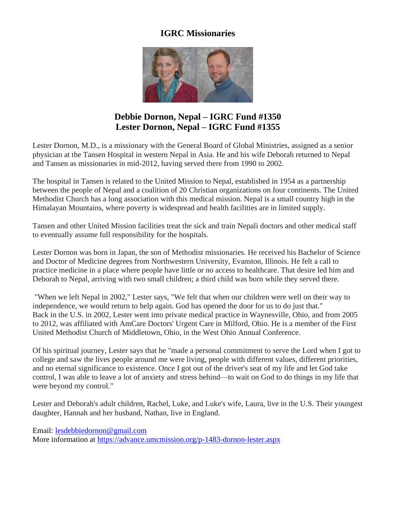## **IGRC Missionaries**



# **Debbie Dornon, Nepal – IGRC Fund #1350 Lester Dornon, Nepal – IGRC Fund #1355**

Lester Dornon, M.D., is a missionary with the General Board of Global Ministries, assigned as a senior physician at the Tansen Hospital in western Nepal in Asia. He and his wife Deborah returned to Nepal and Tansen as missionaries in mid-2012, having served there from 1990 to 2002.

The hospital in Tansen is related to the United Mission to Nepal, established in 1954 as a partnership between the people of Nepal and a coalition of 20 Christian organizations on four continents. The United Methodist Church has a long association with this medical mission. Nepal is a small country high in the Himalayan Mountains, where poverty is widespread and health facilities are in limited supply.

Tansen and other United Mission facilities treat the sick and train Nepali doctors and other medical staff to eventually assume full responsibility for the hospitals.

Lester Dornon was born in Japan, the son of Methodist missionaries. He received his Bachelor of Science and Doctor of Medicine degrees from Northwestern University, Evanston, Illinois. He felt a call to practice medicine in a place where people have little or no access to healthcare. That desire led him and Deborah to Nepal, arriving with two small children; a third child was born while they served there.

"When we left Nepal in 2002," Lester says, "We felt that when our children were well on their way to independence, we would return to help again. God has opened the door for us to do just that." Back in the U.S. in 2002, Lester went into private medical practice in Waynesville, Ohio, and from 2005 to 2012, was affiliated with AmCare Doctors' Urgent Care in Milford, Ohio. He is a member of the First United Methodist Church of Middletown, Ohio, in the West Ohio Annual Conference.

Of his spiritual journey, Lester says that he "made a personal commitment to serve the Lord when I got to college and saw the lives people around me were living, people with different values, different priorities, and no eternal significance to existence. Once I got out of the driver's seat of my life and let God take control, I was able to leave a lot of anxiety and stress behind—to wait on God to do things in my life that were beyond my control."

Lester and Deborah's adult children, Rachel, Luke, and Luke's wife, Laura, live in the U.S. Their youngest daughter, Hannah and her husband, Nathan, live in England.

Email: [lesdebbiedornon@gmail.com](mailto:lesdebbiedornon@gmail.com)

More information at<https://advance.umcmission.org/p-1483-dornon-lester.aspx>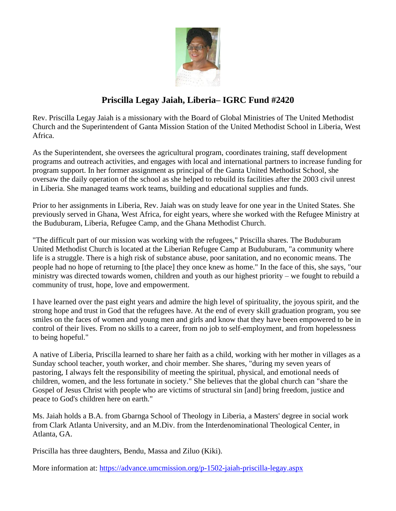

# **Priscilla Legay Jaiah, Liberia– IGRC Fund #2420**

Rev. Priscilla Legay Jaiah is a missionary with the Board of Global Ministries of The United Methodist Church and the Superintendent of Ganta Mission Station of the United Methodist School in Liberia, West Africa.

As the Superintendent, she oversees the agricultural program, coordinates training, staff development programs and outreach activities, and engages with local and international partners to increase funding for program support. In her former assignment as principal of the Ganta United Methodist School, she oversaw the daily operation of the school as she helped to rebuild its facilities after the 2003 civil unrest in Liberia. She managed teams work teams, building and educational supplies and funds.

Prior to her assignments in Liberia, Rev. Jaiah was on study leave for one year in the United States. She previously served in Ghana, West Africa, for eight years, where she worked with the Refugee Ministry at the Buduburam, Liberia, Refugee Camp, and the Ghana Methodist Church.

"The difficult part of our mission was working with the refugees," Priscilla shares. The Buduburam United Methodist Church is located at the Liberian Refugee Camp at Buduburam, "a community where life is a struggle. There is a high risk of substance abuse, poor sanitation, and no economic means. The people had no hope of returning to [the place] they once knew as home." In the face of this, she says, "our ministry was directed towards women, children and youth as our highest priority – we fought to rebuild a community of trust, hope, love and empowerment.

I have learned over the past eight years and admire the high level of spirituality, the joyous spirit, and the strong hope and trust in God that the refugees have. At the end of every skill graduation program, you see smiles on the faces of women and young men and girls and know that they have been empowered to be in control of their lives. From no skills to a career, from no job to self-employment, and from hopelessness to being hopeful."

A native of Liberia, Priscilla learned to share her faith as a child, working with her mother in villages as a Sunday school teacher, youth worker, and choir member. She shares, "during my seven years of pastoring, I always felt the responsibility of meeting the spiritual, physical, and emotional needs of children, women, and the less fortunate in society." She believes that the global church can "share the Gospel of Jesus Christ with people who are victims of structural sin [and] bring freedom, justice and peace to God's children here on earth."

Ms. Jaiah holds a B.A. from Gbarnga School of Theology in Liberia, a Masters' degree in social work from Clark Atlanta University, and an M.Div. from the Interdenominational Theological Center, in Atlanta, GA.

Priscilla has three daughters, Bendu, Massa and Ziluo (Kiki).

More information at:<https://advance.umcmission.org/p-1502-jaiah-priscilla-legay.aspx>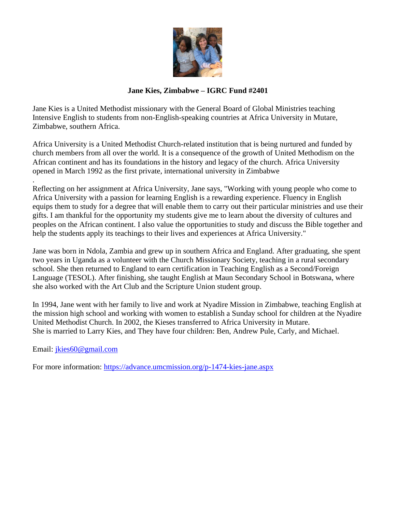

## **Jane Kies, Zimbabwe – IGRC Fund #2401**

Jane Kies is a United Methodist missionary with the General Board of Global Ministries teaching Intensive English to students from non-English-speaking countries at Africa University in Mutare, Zimbabwe, southern Africa.

Africa University is a United Methodist Church-related institution that is being nurtured and funded by church members from all over the world. It is a consequence of the growth of United Methodism on the African continent and has its foundations in the history and legacy of the church. Africa University opened in March 1992 as the first private, international university in Zimbabwe

. Reflecting on her assignment at Africa University, Jane says, "Working with young people who come to Africa University with a passion for learning English is a rewarding experience. Fluency in English equips them to study for a degree that will enable them to carry out their particular ministries and use their gifts. I am thankful for the opportunity my students give me to learn about the diversity of cultures and peoples on the African continent. I also value the opportunities to study and discuss the Bible together and help the students apply its teachings to their lives and experiences at Africa University."

Jane was born in Ndola, Zambia and grew up in southern Africa and England. After graduating, she spent two years in Uganda as a volunteer with the Church Missionary Society, teaching in a rural secondary school. She then returned to England to earn certification in Teaching English as a Second/Foreign Language (TESOL). After finishing, she taught English at Maun Secondary School in Botswana, where she also worked with the Art Club and the Scripture Union student group.

In 1994, Jane went with her family to live and work at Nyadire Mission in Zimbabwe, teaching English at the mission high school and working with women to establish a Sunday school for children at the Nyadire United Methodist Church. In 2002, the Kieses transferred to Africa University in Mutare. She is married to Larry Kies, and They have four children: Ben, Andrew Pule, Carly, and Michael.

Email: [jkies60@gmail.com](mailto:jkies60@gmail.com)

For more information:<https://advance.umcmission.org/p-1474-kies-jane.aspx>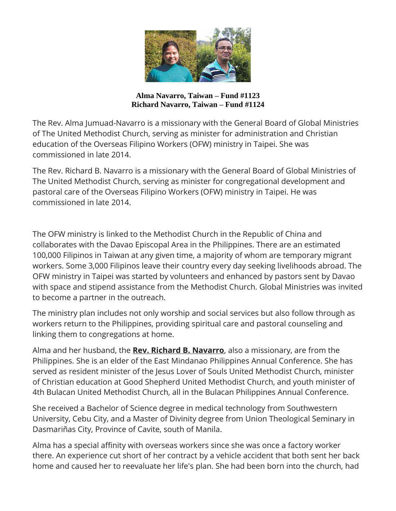

**Alma Navarro, Taiwan – Fund #1123 Richard Navarro, Taiwan – Fund #1124**

The Rev. Alma Jumuad-Navarro is a missionary with the General Board of Global Ministries of The United Methodist Church, serving as minister for administration and Christian education of the Overseas Filipino Workers (OFW) ministry in Taipei. She was commissioned in late 2014.

The Rev. Richard B. Navarro is a missionary with the General Board of Global Ministries of The United Methodist Church, serving as minister for congregational development and pastoral care of the Overseas Filipino Workers (OFW) ministry in Taipei. He was commissioned in late 2014.

The OFW ministry is linked to the Methodist Church in the Republic of China and collaborates with the Davao Episcopal Area in the Philippines. There are an estimated 100,000 Filipinos in Taiwan at any given time, a majority of whom are temporary migrant workers. Some 3,000 Filipinos leave their country every day seeking livelihoods abroad. The OFW ministry in Taipei was started by volunteers and enhanced by pastors sent by Davao with space and stipend assistance from the Methodist Church. Global Ministries was invited to become a partner in the outreach.

The ministry plan includes not only worship and social services but also follow through as workers return to the Philippines, providing spiritual care and pastoral counseling and linking them to congregations at home.

Alma and her husband, the **[Rev. Richard B. Navarro](https://umcmission.org/missionary-bio/3022030/)**, also a missionary, are from the Philippines. She is an elder of the East Mindanao Philippines Annual Conference. She has served as resident minister of the Jesus Lover of Souls United Methodist Church, minister of Christian education at Good Shepherd United Methodist Church, and youth minister of 4th Bulacan United Methodist Church, all in the Bulacan Philippines Annual Conference.

She received a Bachelor of Science degree in medical technology from Southwestern University, Cebu City, and a Master of Divinity degree from Union Theological Seminary in Dasmariñas City, Province of Cavite, south of Manila.

Alma has a special affinity with overseas workers since she was once a factory worker there. An experience cut short of her contract by a vehicle accident that both sent her back home and caused her to reevaluate her life's plan. She had been born into the church, had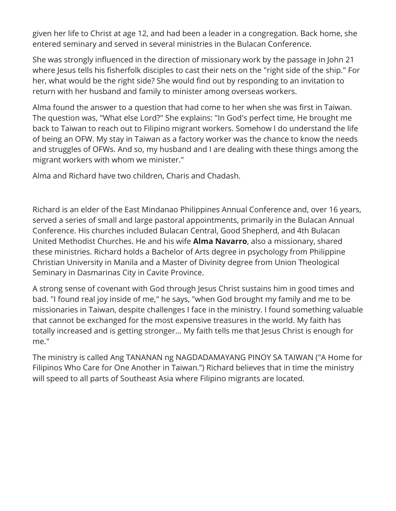given her life to Christ at age 12, and had been a leader in a congregation. Back home, she entered seminary and served in several ministries in the Bulacan Conference.

She was strongly influenced in the direction of missionary work by the passage in John 21 where Jesus tells his fisherfolk disciples to cast their nets on the "right side of the ship." For her, what would be the right side? She would find out by responding to an invitation to return with her husband and family to minister among overseas workers.

Alma found the answer to a question that had come to her when she was first in Taiwan. The question was, "What else Lord?" She explains: "In God's perfect time, He brought me back to Taiwan to reach out to Filipino migrant workers. Somehow I do understand the life of being an OFW. My stay in Taiwan as a factory worker was the chance to know the needs and struggles of OFWs. And so, my husband and I are dealing with these things among the migrant workers with whom we minister."

Alma and Richard have two children, Charis and Chadash.

Richard is an elder of the East Mindanao Philippines Annual Conference and, over 16 years, served a series of small and large pastoral appointments, primarily in the Bulacan Annual Conference. His churches included Bulacan Central, Good Shepherd, and 4th Bulacan United Methodist Churches. He and his wife **[Alma Navarro](https://umcmission.org/missionary-bio/3022029/)**, also a missionary, shared these ministries. Richard holds a Bachelor of Arts degree in psychology from Philippine Christian University in Manila and a Master of Divinity degree from Union Theological Seminary in Dasmarinas City in Cavite Province.

A strong sense of covenant with God through Jesus Christ sustains him in good times and bad. "I found real joy inside of me," he says, "when God brought my family and me to be missionaries in Taiwan, despite challenges I face in the ministry. I found something valuable that cannot be exchanged for the most expensive treasures in the world. My faith has totally increased and is getting stronger… My faith tells me that Jesus Christ is enough for me."

The ministry is called Ang TANANAN ng NAGDADAMAYANG PINOY SA TAIWAN ("A Home for Filipinos Who Care for One Another in Taiwan.") Richard believes that in time the ministry will speed to all parts of Southeast Asia where Filipino migrants are located.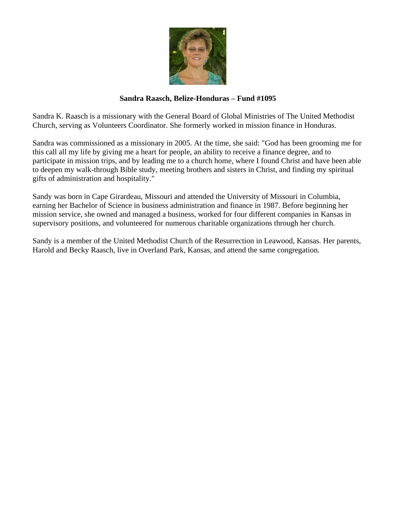

### **Sandra Raasch, Belize-Honduras – Fund #1095**

Sandra K. Raasch is a missionary with the General Board of Global Ministries of The United Methodist Church, serving as Volunteers Coordinator. She formerly worked in mission finance in Honduras.

Sandra was commissioned as a missionary in 2005. At the time, she said: "God has been grooming me for this call all my life by giving me a heart for people, an ability to receive a finance degree, and to participate in mission trips, and by leading me to a church home, where I found Christ and have been able to deepen my walk-through Bible study, meeting brothers and sisters in Christ, and finding my spiritual gifts of administration and hospitality."

Sandy was born in Cape Girardeau, Missouri and attended the University of Missouri in Columbia, earning her Bachelor of Science in business administration and finance in 1987. Before beginning her mission service, she owned and managed a business, worked for four different companies in Kansas in supervisory positions, and volunteered for numerous charitable organizations through her church.

Sandy is a member of the United Methodist Church of the Resurrection in Leawood, Kansas. Her parents, Harold and Becky Raasch, live in Overland Park, Kansas, and attend the same congregation.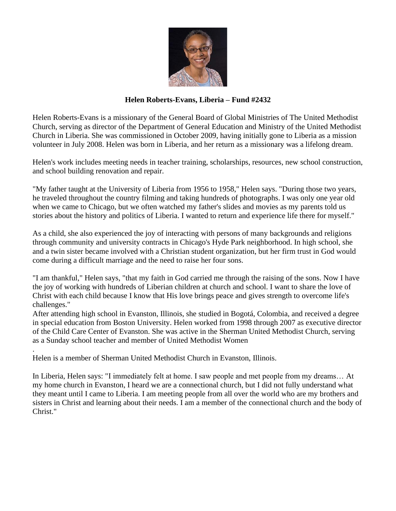

### **Helen Roberts-Evans, Liberia – Fund #2432**

Helen Roberts-Evans is a missionary of the General Board of Global Ministries of The United Methodist Church, serving as director of the Department of General Education and Ministry of the United Methodist Church in Liberia. She was commissioned in October 2009, having initially gone to Liberia as a mission volunteer in July 2008. Helen was born in Liberia, and her return as a missionary was a lifelong dream.

Helen's work includes meeting needs in teacher training, scholarships, resources, new school construction, and school building renovation and repair.

"My father taught at the University of Liberia from 1956 to 1958," Helen says. "During those two years, he traveled throughout the country filming and taking hundreds of photographs. I was only one year old when we came to Chicago, but we often watched my father's slides and movies as my parents told us stories about the history and politics of Liberia. I wanted to return and experience life there for myself."

As a child, she also experienced the joy of interacting with persons of many backgrounds and religions through community and university contracts in Chicago's Hyde Park neighborhood. In high school, she and a twin sister became involved with a Christian student organization, but her firm trust in God would come during a difficult marriage and the need to raise her four sons.

"I am thankful," Helen says, "that my faith in God carried me through the raising of the sons. Now I have the joy of working with hundreds of Liberian children at church and school. I want to share the love of Christ with each child because I know that His love brings peace and gives strength to overcome life's challenges."

After attending high school in Evanston, Illinois, she studied in Bogotá, Colombia, and received a degree in special education from Boston University. Helen worked from 1998 through 2007 as executive director of the Child Care Center of Evanston. She was active in the Sherman United Methodist Church, serving as a Sunday school teacher and member of United Methodist Women

. Helen is a member of Sherman United Methodist Church in Evanston, Illinois.

In Liberia, Helen says: "I immediately felt at home. I saw people and met people from my dreams… At my home church in Evanston, I heard we are a connectional church, but I did not fully understand what they meant until I came to Liberia. I am meeting people from all over the world who are my brothers and sisters in Christ and learning about their needs. I am a member of the connectional church and the body of Christ."